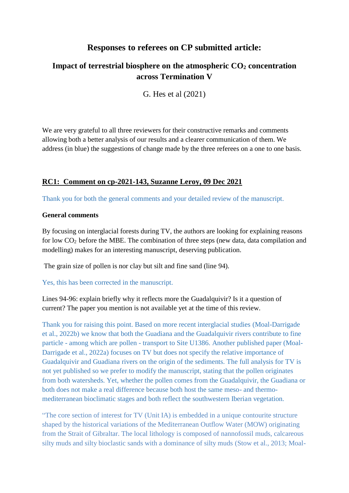# **Responses to referees on CP submitted article:**

# **Impact of terrestrial biosphere on the atmospheric CO<sup>2</sup> concentration across Termination V**

G. Hes et al (2021)

We are very grateful to all three reviewers for their constructive remarks and comments allowing both a better analysis of our results and a clearer communication of them. We address (in blue) the suggestions of change made by the three referees on a one to one basis.

# **RC1[:](https://cp.copernicus.org/#RC1) Comment on cp-2021-143, Suzanne Leroy, 09 Dec 2021**

Thank you for both the general comments and your detailed review of the manuscript.

# **General comments**

By focusing on interglacial forests during TV, the authors are looking for explaining reasons for low CO2 before the MBE. The combination of three steps (new data, data compilation and modelling) makes for an interesting manuscript, deserving publication.

The grain size of pollen is nor clay but silt and fine sand (line 94).

# Yes, this has been corrected in the manuscript.

Lines 94-96: explain briefly why it reflects more the Guadalquivir? Is it a question of current? The paper you mention is not available yet at the time of this review.

Thank you for raising this point. Based on more recent interglacial studies (Moal-Darrigade et al., 2022b) we know that both the Guadiana and the Guadalquivir rivers contribute to fine particle - among which are pollen - transport to Site U1386. Another published paper (Moal-Darrigade et al., 2022a) focuses on TV but does not specify the relative importance of Guadalquivir and Guadiana rivers on the origin of the sediments. The full analysis for TV is not yet published so we prefer to modify the manuscript, stating that the pollen originates from both watersheds. Yet, whether the pollen comes from the Guadalquivir, the Guadiana or both does not make a real difference because both host the same meso- and thermomediterranean bioclimatic stages and both reflect the southwestern Iberian vegetation.

"The core section of interest for TV (Unit IA) is embedded in a unique contourite structure shaped by the historical variations of the Mediterranean Outflow Water (MOW) originating from the Strait of Gibraltar. The local lithology is composed of nannofossil muds, calcareous silty muds and silty bioclastic sands with a dominance of silty muds (Stow et al., 2013; Moal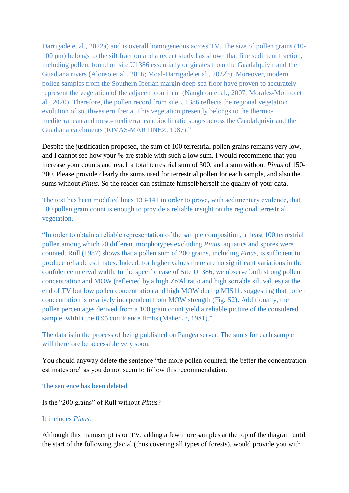Darrigade et al., 2022a) and is overall homogeneous across TV. The size of pollen grains (10- 100 μm) belongs to the silt fraction and a recent study has shown that fine sediment fraction, including pollen, found on site U1386 essentially originates from the Guadalquivir and the Guadiana rivers (Alonso et al., 2016; Moal-Darrigade et al., 2022b). Moreover, modern pollen samples from the Southern Iberian margin deep-sea floor have proven to accurately represent the vegetation of the adjacent continent (Naughton et al., 2007; Morales-Molino et al., 2020). Therefore, the pollen record from site U1386 reflects the regional vegetation evolution of southwestern Iberia. This vegetation presently belongs to the thermomediterranean and meso-mediterranean bioclimatic stages across the Guadalquivir and the Guadiana catchments (RIVAS-MARTINEZ, 1987)."

Despite the justification proposed, the sum of 100 terrestrial pollen grains remains very low, and I cannot see how your % are stable with such a low sum. I would recommend that you increase your counts and reach a total terrestrial sum of 300, and a sum without *Pinus* of 150- 200. Please provide clearly the sums used for terrestrial pollen for each sample, and also the sums without *Pinus*. So the reader can estimate himself/herself the quality of your data.

The text has been modified lines 133-141 in order to prove, with sedimentary evidence, that 100 pollen grain count is enough to provide a reliable insight on the regional terrestrial vegetation.

"In order to obtain a reliable representation of the sample composition, at least 100 terrestrial pollen among which 20 different morphotypes excluding *Pinus*, aquatics and spores were counted. Rull (1987) shows that a pollen sum of 200 grains, including *Pinus*, is sufficient to produce reliable estimates. Indeed, for higher values there are no significant variations in the confidence interval width. In the specific case of Site U1386, we observe both strong pollen concentration and MOW (reflected by a high Zr/Al ratio and high sortable silt values) at the end of TV but low pollen concentration and high MOW during MIS11, suggesting that pollen concentration is relatively independent from MOW strength (Fig. S2). Additionally, the pollen percentages derived from a 100 grain count yield a reliable picture of the considered sample, within the 0.95 confidence limits (Maher Jr, 1981)."

The data is in the process of being published on Pangea server. The sums for each sample will therefore be accessible very soon.

You should anyway delete the sentence "the more pollen counted, the better the concentration estimates are" as you do not seem to follow this recommendation.

The sentence has been deleted.

Is the "200 grains" of Rull without *Pinus*?

#### It includes *Pinus.*

Although this manuscript is on TV, adding a few more samples at the top of the diagram until the start of the following glacial (thus covering all types of forests), would provide you with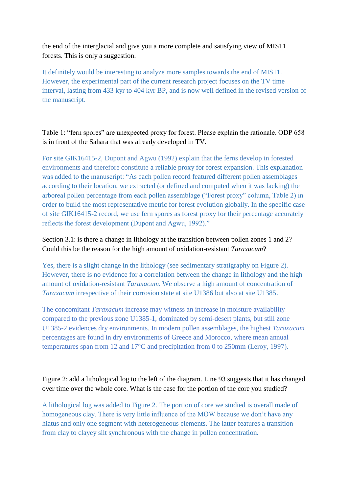the end of the interglacial and give you a more complete and satisfying view of MIS11 forests. This is only a suggestion.

It definitely would be interesting to analyze more samples towards the end of MIS11. However, the experimental part of the current research project focuses on the TV time interval, lasting from 433 kyr to 404 kyr BP, and is now well defined in the revised version of the manuscript.

Table 1: "fern spores" are unexpected proxy for forest. Please explain the rationale. ODP 658 is in front of the Sahara that was already developed in TV.

For site GIK16415-2, Dupont and Agwu (1992) explain that the ferns develop in forested environments and therefore constitute a reliable proxy for forest expansion. This explanation was added to the manuscript: "As each pollen record featured different pollen assemblages according to their location, we extracted (or defined and computed when it was lacking) the arboreal pollen percentage from each pollen assemblage ("Forest proxy" column, Table 2) in order to build the most representative metric for forest evolution globally. In the specific case of site GIK16415-2 record, we use fern spores as forest proxy for their percentage accurately reflects the forest development (Dupont and Agwu, 1992)."

Section 3.1: is there a change in lithology at the transition between pollen zones 1 and 2? Could this be the reason for the high amount of oxidation-resistant *Taraxacum*?

Yes, there is a slight change in the lithology (see sedimentary stratigraphy on Figure 2). However, there is no evidence for a correlation between the change in lithology and the high amount of oxidation-resistant *Taraxacum*. We observe a high amount of concentration of *Taraxacum* irrespective of their corrosion state at site U1386 but also at site U1385.

The concomitant *Taraxacum* increase may witness an increase in moisture availability compared to the previous zone U1385-1, dominated by semi-desert plants, but still zone U1385-2 evidences dry environments. In modern pollen assemblages, the highest *Taraxacum* percentages are found in dry environments of Greece and Morocco, where mean annual temperatures span from 12 and 17°C and precipitation from 0 to 250mm (Leroy, 1997).

Figure 2: add a lithological log to the left of the diagram. Line 93 suggests that it has changed over time over the whole core. What is the case for the portion of the core you studied?

A lithological log was added to Figure 2. The portion of core we studied is overall made of homogeneous clay. There is very little influence of the MOW because we don't have any hiatus and only one segment with heterogeneous elements. The latter features a transition from clay to clayey silt synchronous with the change in pollen concentration.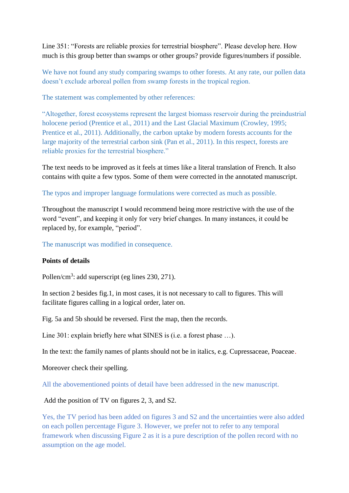Line 351: "Forests are reliable proxies for terrestrial biosphere". Please develop here. How much is this group better than swamps or other groups? provide figures/numbers if possible.

We have not found any study comparing swamps to other forests. At any rate, our pollen data doesn't exclude arboreal pollen from swamp forests in the tropical region.

The statement was complemented by other references:

"Altogether, forest ecosystems represent the largest biomass reservoir during the preindustrial holocene period (Prentice et al., 2011) and the Last Glacial Maximum (Crowley, 1995; Prentice et al., 2011). Additionally, the carbon uptake by modern forests accounts for the large majority of the terrestrial carbon sink (Pan et al., 2011). In this respect, forests are reliable proxies for the terrestrial biosphere."

The text needs to be improved as it feels at times like a literal translation of French. It also contains with quite a few typos. Some of them were corrected in the annotated manuscript.

The typos and improper language formulations were corrected as much as possible.

Throughout the manuscript I would recommend being more restrictive with the use of the word "event", and keeping it only for very brief changes. In many instances, it could be replaced by, for example, "period".

The manuscript was modified in consequence.

# **Points of details**

Pollen/cm<sup>3</sup>: add superscript (eg lines 230, 271).

In section 2 besides fig.1, in most cases, it is not necessary to call to figures. This will facilitate figures calling in a logical order, later on.

Fig. 5a and 5b should be reversed. First the map, then the records.

Line 301: explain briefly here what SINES is (i.e. a forest phase ...).

In the text: the family names of plants should not be in italics, e.g. Cupressaceae, Poaceae.

Moreover check their spelling.

All the abovementioned points of detail have been addressed in the new manuscript.

# Add the position of TV on figures 2, 3, and S2.

Yes, the TV period has been added on figures 3 and S2 and the uncertainties were also added on each pollen percentage Figure 3. However, we prefer not to refer to any temporal framework when discussing Figure 2 as it is a pure description of the pollen record with no assumption on the age model.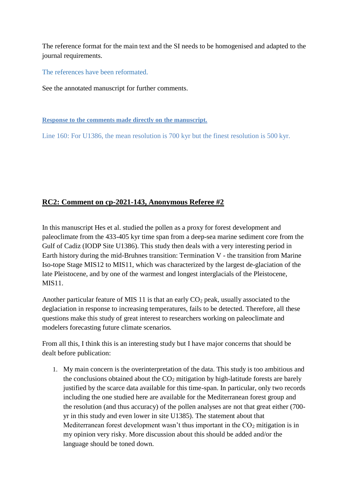The reference format for the main text and the SI needs to be homogenised and adapted to the journal requirements.

The references have been reformated.

See the annotated manuscript for further comments.

**Response to the comments made directly on the manuscript.**

Line 160: For U1386, the mean resolution is 700 kyr but the finest resolution is 500 kyr.

# **RC2: Comment on cp-2021-143, Anonymous Referee #2**

In this manuscript Hes et al. studied the pollen as a proxy for forest development and paleoclimate from the 433-405 kyr time span from a deep-sea marine sediment core from the Gulf of Cadiz (IODP Site U1386). This study then deals with a very interesting period in Earth history during the mid-Bruhnes transition: Termination V - the transition from Marine Iso-tope Stage MIS12 to MIS11, which was characterized by the largest de-glaciation of the late Pleistocene, and by one of the warmest and longest interglacials of the Pleistocene, MIS11.

Another particular feature of MIS 11 is that an early  $CO<sub>2</sub>$  peak, usually associated to the deglaciation in response to increasing temperatures, fails to be detected. Therefore, all these questions make this study of great interest to researchers working on paleoclimate and modelers forecasting future climate scenarios.

From all this, I think this is an interesting study but I have major concerns that should be dealt before publication:

1. My main concern is the overinterpretation of the data. This study is too ambitious and the conclusions obtained about the  $CO<sub>2</sub>$  mitigation by high-latitude forests are barely justified by the scarce data available for this time-span. In particular, only two records including the one studied here are available for the Mediterranean forest group and the resolution (and thus accuracy) of the pollen analyses are not that great either (700 yr in this study and even lower in site U1385). The statement about that Mediterranean forest development wasn't thus important in the  $CO<sub>2</sub>$  mitigation is in my opinion very risky. More discussion about this should be added and/or the language should be toned down.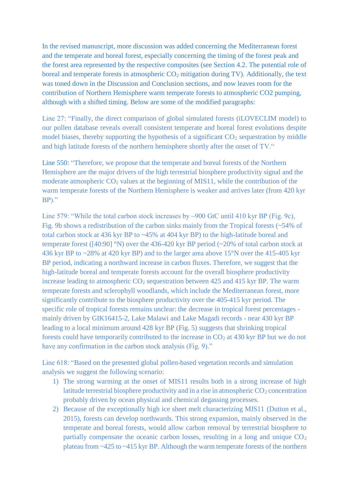In the revised manuscript, more discussion was added concerning the Mediterranean forest and the temperate and boreal forest, especially concerning the timing of the forest peak and the forest area represented by the respective composites (see Section 4.2. The potential role of boreal and temperate forests in atmospheric  $CO<sub>2</sub>$  mitigation during TV). Additionally, the text was toned down in the Discussion and Conclusion sections, and now leaves room for the contribution of Northern Hemisphere warm temperate forests to atmospheric CO2 pumping, although with a shifted timing. Below are some of the modified paragraphs:

Line 27: "Finally, the direct comparison of global simulated forests (iLOVECLIM model) to our pollen database reveals overall consistent temperate and boreal forest evolutions despite model biases, thereby supporting the hypothesis of a significant  $CO<sub>2</sub>$  sequestration by middle and high latitude forests of the northern hemisphere shortly after the onset of TV."

Line 550: "Therefore, we propose that the temperate and boreal forests of the Northern Hemisphere are the major drivers of the high terrestrial biosphere productivity signal and the moderate atmospheric CO<sub>2</sub> values at the beginning of MIS11, while the contribution of the warm temperate forests of the Northern Hemisphere is weaker and arrives later (from 420 kyr BP)."

Line 579: "While the total carbon stock increases by ~900 GtC until 410 kyr BP (Fig. 9c), Fig. 9b shows a redistribution of the carbon sinks mainly from the Tropical forests (~54% of total carbon stock at 436 kyr BP to ~45% at 404 kyr BP) to the high-latitude boreal and temperate forest ([40:90] °N) over the 436-420 kyr BP period (~20% of total carbon stock at 436 kyr BP to ~28% at 420 kyr BP) and to the larger area above 15°N over the 415-405 kyr BP period, indicating a northward increase in carbon fluxes. Therefore, we suggest that the high-latitude boreal and temperate forests account for the overall biosphere productivity increase leading to atmospheric  $CO<sub>2</sub>$  sequestration between 425 and 415 kyr BP. The warm temperate forests and sclerophyll woodlands, which include the Mediterranean forest, more significantly contribute to the biosphere productivity over the 405-415 kyr period. The specific role of tropical forests remains unclear: the decrease in tropical forest percentages mainly driven by GIK16415-2, Lake Malawi and Lake Magadi records - near 430 kyr BP leading to a local minimum around 428 kyr BP (Fig. 5) suggests that shrinking tropical forests could have temporarily contributed to the increase in  $CO<sub>2</sub>$  at 430 kyr BP but we do not have any confirmation in the carbon stock analysis (Fig. 9)."

Line 618: "Based on the presented global pollen-based vegetation records and simulation analysis we suggest the following scenario:

- 1) The strong warming at the onset of MIS11 results both in a strong increase of high latitude terrestrial biosphere productivity and in a rise in atmospheric  $CO<sub>2</sub>$  concentration probably driven by ocean physical and chemical degassing processes.
- 2) Because of the exceptionally high ice sheet melt characterizing MIS11 (Dutton et al., 2015), forests can develop northwards. This strong expansion, mainly observed in the temperate and boreal forests, would allow carbon removal by terrestrial biosphere to partially compensate the oceanic carbon losses, resulting in a long and unique  $CO<sub>2</sub>$ plateau from ~425 to ~415 kyr BP. Although the warm temperate forests of the northern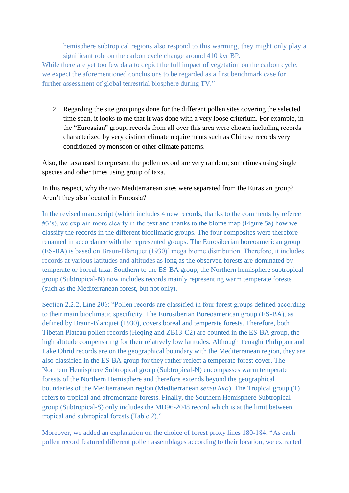hemisphere subtropical regions also respond to this warming, they might only play a significant role on the carbon cycle change around 410 kyr BP.

While there are yet too few data to depict the full impact of vegetation on the carbon cycle, we expect the aforementioned conclusions to be regarded as a first benchmark case for further assessment of global terrestrial biosphere during TV."

2. Regarding the site groupings done for the different pollen sites covering the selected time span, it looks to me that it was done with a very loose criterium. For example, in the "Euroasian" group, records from all over this area were chosen including records characterized by very distinct climate requirements such as Chinese records very conditioned by monsoon or other climate patterns.

Also, the taxa used to represent the pollen record are very random; sometimes using single species and other times using group of taxa.

In this respect, why the two Mediterranean sites were separated from the Eurasian group? Aren't they also located in Euroasia?

In the revised manuscript (which includes 4 new records, thanks to the comments by referee #3's), we explain more clearly in the text and thanks to the biome map (Figure 5a) how we classify the records in the different bioclimatic groups. The four composites were therefore renamed in accordance with the represented groups. The Eurosiberian boreoamerican group (ES-BA) is based on Braun-Blanquet (1930)' mega biome distribution. Therefore, it includes records at various latitudes and altitudes as long as the observed forests are dominated by temperate or boreal taxa. Southern to the ES-BA group, the Northern hemisphere subtropical group (Subtropical-N) now includes records mainly representing warm temperate forests (such as the Mediterranean forest, but not only).

Section 2.2.2, Line 206: "Pollen records are classified in four forest groups defined according to their main bioclimatic specificity. The Eurosiberian Boreoamerican group (ES-BA), as defined by Braun-Blanquet (1930), covers boreal and temperate forests. Therefore, both Tibetan Plateau pollen records (Heqing and ZB13-C2) are counted in the ES-BA group, the high altitude compensating for their relatively low latitudes. Although Tenaghi Philippon and Lake Ohrid records are on the geographical boundary with the Mediterranean region, they are also classified in the ES-BA group for they rather reflect a temperate forest cover. The Northern Hemisphere Subtropical group (Subtropical-N) encompasses warm temperate forests of the Northern Hemisphere and therefore extends beyond the geographical boundaries of the Mediterranean region (Mediterranean *sensu lato*). The Tropical group (T) refers to tropical and afromontane forests. Finally, the Southern Hemisphere Subtropical group (Subtropical-S) only includes the MD96-2048 record which is at the limit between tropical and subtropical forests (Table 2)."

Moreover, we added an explanation on the choice of forest proxy lines 180-184. "As each pollen record featured different pollen assemblages according to their location, we extracted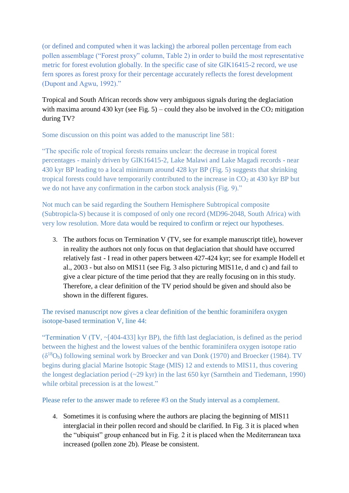(or defined and computed when it was lacking) the arboreal pollen percentage from each pollen assemblage ("Forest proxy" column, Table 2) in order to build the most representative metric for forest evolution globally. In the specific case of site GIK16415-2 record, we use fern spores as forest proxy for their percentage accurately reflects the forest development (Dupont and Agwu, 1992)."

Tropical and South African records show very ambiguous signals during the deglaciation with maxima around 430 kyr (see Fig. 5) – could they also be involved in the  $CO<sub>2</sub>$  mitigation during TV?

Some discussion on this point was added to the manuscript line 581:

"The specific role of tropical forests remains unclear: the decrease in tropical forest percentages - mainly driven by GIK16415-2, Lake Malawi and Lake Magadi records - near 430 kyr BP leading to a local minimum around 428 kyr BP (Fig. 5) suggests that shrinking tropical forests could have temporarily contributed to the increase in  $CO<sub>2</sub>$  at 430 kyr BP but we do not have any confirmation in the carbon stock analysis (Fig. 9)."

Not much can be said regarding the Southern Hemisphere Subtropical composite (Subtropicla-S) because it is composed of only one record (MD96-2048, South Africa) with very low resolution. More data would be required to confirm or reject our hypotheses.

3. The authors focus on Termination V (TV, see for example manuscript title), however in reality the authors not only focus on that deglaciation that should have occurred relatively fast - I read in other papers between 427-424 kyr; see for example Hodell et al., 2003 - but also on MIS11 (see Fig. 3 also picturing MIS11e, d and c) and fail to give a clear picture of the time period that they are really focusing on in this study. Therefore, a clear definition of the TV period should be given and should also be shown in the different figures.

The revised manuscript now gives a clear definition of the benthic foraminifera oxygen isotope-based termination V, line 44:

"Termination V (TV,  $\sim$ [404-433] kyr BP), the fifth last deglaciation, is defined as the period between the highest and the lowest values of the benthic foraminifera oxygen isotope ratio  $(\delta^{18}O_b)$  following seminal work by Broecker and van Donk (1970) and Broecker (1984). TV begins during glacial Marine Isotopic Stage (MIS) 12 and extends to MIS11, thus covering the longest deglaciation period (~29 kyr) in the last 650 kyr (Sarnthein and Tiedemann, 1990) while orbital precession is at the lowest."

Please refer to the answer made to referee #3 on the Study interval as a complement.

4. Sometimes it is confusing where the authors are placing the beginning of MIS11 interglacial in their pollen record and should be clarified. In Fig. 3 it is placed when the "ubiquist" group enhanced but in Fig. 2 it is placed when the Mediterranean taxa increased (pollen zone 2b). Please be consistent.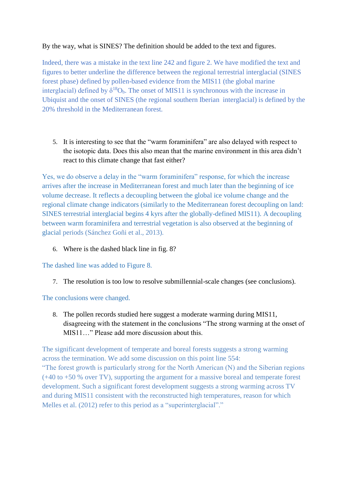# By the way, what is SINES? The definition should be added to the text and figures.

Indeed, there was a mistake in the text line 242 and figure 2. We have modified the text and figures to better underline the difference between the regional terrestrial interglacial (SINES forest phase) defined by pollen-based evidence from the MIS11 (the global marine interglacial) defined by  $\delta^{18}O_b$ . The onset of MIS11 is synchronous with the increase in Ubiquist and the onset of SINES (the regional southern Iberian interglacial) is defined by the 20% threshold in the Mediterranean forest.

5. It is interesting to see that the "warm foraminifera" are also delayed with respect to the isotopic data. Does this also mean that the marine environment in this area didn't react to this climate change that fast either?

Yes, we do observe a delay in the "warm foraminifera" response, for which the increase arrives after the increase in Mediterranean forest and much later than the beginning of ice volume decrease. It reflects a decoupling between the global ice volume change and the regional climate change indicators (similarly to the Mediterranean forest decoupling on land: SINES terrestrial interglacial begins 4 kyrs after the globally-defined MIS11). A decoupling between warm foraminifera and terrestrial vegetation is also observed at the beginning of glacial periods (Sánchez Goñi et al., 2013).

6. Where is the dashed black line in fig. 8?

The dashed line was added to Figure 8.

7. The resolution is too low to resolve submillennial-scale changes (see conclusions).

The conclusions were changed.

8. The pollen records studied here suggest a moderate warming during MIS11, disagreeing with the statement in the conclusions "The strong warming at the onset of MIS11…" Please add more discussion about this.

The significant development of temperate and boreal forests suggests a strong warming across the termination. We add some discussion on this point line 554: "The forest growth is particularly strong for the North American (N) and the Siberian regions (+40 to +50 % over TV), supporting the argument for a massive boreal and temperate forest development. Such a significant forest development suggests a strong warming across TV and during MIS11 consistent with the reconstructed high temperatures, reason for which Melles et al. (2012) refer to this period as a "superinterglacial"."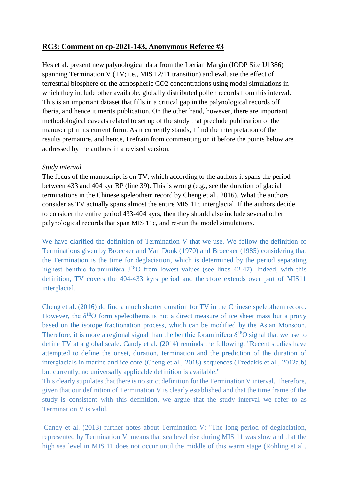# **RC3: Comment on cp-2021-143, Anonymous Referee #3**

Hes et al. present new palynological data from the Iberian Margin (IODP Site U1386) spanning Termination V (TV; i.e., MIS 12/11 transition) and evaluate the effect of terrestrial biosphere on the atmospheric CO2 concentrations using model simulations in which they include other available, globally distributed pollen records from this interval. This is an important dataset that fills in a critical gap in the palynological records off Iberia, and hence it merits publication. On the other hand, however, there are important methodological caveats related to set up of the study that preclude publication of the manuscript in its current form. As it currently stands, I find the interpretation of the results premature, and hence, I refrain from commenting on it before the points below are addressed by the authors in a revised version.

### *Study interval*

The focus of the manuscript is on TV, which according to the authors it spans the period between 433 and 404 kyr BP (line 39). This is wrong (e.g., see the duration of glacial terminations in the Chinese speleothem record by Cheng et al., 2016). What the authors consider as TV actually spans almost the entire MIS 11c interglacial. If the authors decide to consider the entire period 433-404 kyrs, then they should also include several other palynological records that span MIS 11c, and re-run the model simulations.

We have clarified the definition of Termination V that we use. We follow the definition of Terminations given by Broecker and Van Donk (1970) and Broecker (1985) considering that the Termination is the time for deglaciation, which is determined by the period separating highest benthic foraminifera  $\delta^{18}$ O from lowest values (see lines 42-47). Indeed, with this definition, TV covers the 404-433 kyrs period and therefore extends over part of MIS11 interglacial.

Cheng et al. (2016) do find a much shorter duration for TV in the Chinese speleothem record. However, the  $\delta^{18}$ O form speleothems is not a direct measure of ice sheet mass but a proxy based on the isotope fractionation process, which can be modified by the Asian Monsoon. Therefore, it is more a regional signal than the benthic foraminifera  $\delta^{18}O$  signal that we use to define TV at a global scale. Candy et al. (2014) reminds the following: "Recent studies have attempted to define the onset, duration, termination and the prediction of the duration of interglacials in marine and ice core (Cheng et al., 2018) sequences (Tzedakis et al., 2012a,b) but currently, no universally applicable definition is available."

This clearly stipulates that there is no strict definition for the Termination V interval. Therefore, given that our definition of Termination V is clearly established and that the time frame of the study is consistent with this definition, we argue that the study interval we refer to as Termination V is valid.

Candy et al. (2013) further notes about Termination V: "The long period of deglaciation, represented by Termination V, means that sea level rise during MIS 11 was slow and that the high sea level in MIS 11 does not occur until the middle of this warm stage (Rohling et al.,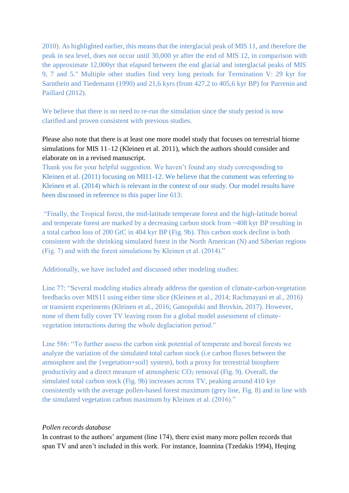2010). As highlighted earlier, this means that the interglacial peak of MIS 11, and therefore the peak in sea level, does not occur until 30,000 yr after the end of MIS 12, in comparison with the approximate 12,000yr that elapsed between the end glacial and interglacial peaks of MIS 9, 7 and 5." Multiple other studies find very long periods for Termination V: 29 kyr for Sarnthein and Tiedemann (1990) and 21,6 kyrs (from 427,2 to 405,6 kyr BP) for Parrenin and Paillard (2012).

We believe that there is no need to re-run the simulation since the study period is now clarified and proven consistent with previous studies.

Please also note that there is at least one more model study that focuses on terrestrial biome simulations for MIS 11–12 (Kleinen et al. 2011), which the authors should consider and elaborate on in a revised manuscript.

Thank you for your helpful suggestion. We haven't found any study corresponding to Kleinen et al. (2011) focusing on MI11-12. We believe that the comment was referring to Kleinen et al. (2014) which is relevant in the context of our study. Our model results have been discussed in reference to this paper line 613:

"Finally, the Tropical forest, the mid-latitude temperate forest and the high-latitude boreal and temperate forest are marked by a decreasing carbon stock from ~408 kyr BP resulting in a total carbon loss of 200 GtC in 404 kyr BP (Fig. 9b). This carbon stock decline is both consistent with the shrinking simulated forest in the North American (N) and Siberian regions (Fig. 7) and with the forest simulations by Kleinen et al. (2014)."

Additionally, we have included and discussed other modeling studies:

Line 77: "Several modeling studies already address the question of climate-carbon-vegetation feedbacks over MIS11 using either time slice (Kleinen et al., 2014; Rachmayani et al., 2016) or transient experiments (Kleinen et al., 2016; Ganopolski and Brovkin, 2017). However, none of them fully cover TV leaving room for a global model assessment of climatevegetation interactions during the whole deglaciation period."

Line 586: "To further assess the carbon sink potential of temperate and boreal forests we analyze the variation of the simulated total carbon stock (i.e carbon fluxes between the atmosphere and the {vegetation+soil} system), both a proxy for terrestrial biosphere productivity and a direct measure of atmospheric  $CO_2$  removal (Fig. 9). Overall, the simulated total carbon stock (Fig. 9b) increases across TV, peaking around 410 kyr consistently with the average pollen-based forest maximum (grey line, Fig. 8) and in line with the simulated vegetation carbon maximum by Kleinen et al. (2016)."

# *Pollen records database*

In contrast to the authors' argument (line 174), there exist many more pollen records that span TV and aren't included in this work. For instance, Ioannina (Tzedakis 1994), Heqing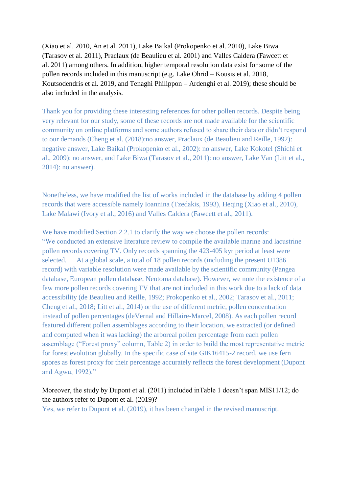(Xiao et al. 2010, An et al. 2011), Lake Baikal (Prokopenko et al. 2010), Lake Biwa (Tarasov et al. 2011), Praclaux (de Beaulieu et al. 2001) and Valles Caldera (Fawcett et al. 2011) among others. In addition, higher temporal resolution data exist for some of the pollen records included in this manuscript (e.g. Lake Ohrid – Kousis et al. 2018, Koutsodendris et al. 2019, and Tenaghi Philippon – Ardenghi et al. 2019); these should be also included in the analysis.

Thank you for providing these interesting references for other pollen records. Despite being very relevant for our study, some of these records are not made available for the scientific community on online platforms and some authors refused to share their data or didn't respond to our demands (Cheng et al. (2018):no answer, Praclaux (de Beaulieu and Reille, 1992): negative answer, Lake Baikal (Prokopenko et al., 2002): no answer, Lake Kokotel (Shichi et al., 2009): no answer, and Lake Biwa (Tarasov et al., 2011): no answer, Lake Van (Litt et al., 2014): no answer).

Nonetheless, we have modified the list of works included in the database by adding 4 pollen records that were accessible namely Ioannina (Tzedakis, 1993), Heqing (Xiao et al., 2010), Lake Malawi (Ivory et al., 2016) and Valles Caldera (Fawcett et al., 2011).

We have modified Section 2.2.1 to clarify the way we choose the pollen records: "We conducted an extensive literature review to compile the available marine and lacustrine pollen records covering TV. Only records spanning the 423-405 kyr period at least were selected. At a global scale, a total of 18 pollen records (including the present U1386 record) with variable resolution were made available by the scientific community (Pangea database, European pollen database, Neotoma database). However, we note the existence of a few more pollen records covering TV that are not included in this work due to a lack of data accessibility (de Beaulieu and Reille, 1992; Prokopenko et al., 2002; Tarasov et al., 2011; Cheng et al., 2018; Litt et al., 2014) or the use of different metric, pollen concentration instead of pollen percentages (deVernal and Hillaire-Marcel, 2008). As each pollen record featured different pollen assemblages according to their location, we extracted (or defined and computed when it was lacking) the arboreal pollen percentage from each pollen assemblage ("Forest proxy" column, Table 2) in order to build the most representative metric for forest evolution globally. In the specific case of site GIK16415-2 record, we use fern spores as forest proxy for their percentage accurately reflects the forest development (Dupont and Agwu, 1992)."

# Moreover, the study by Dupont et al. (2011) included inTable 1 doesn't span MIS11/12; do the authors refer to Dupont et al. (2019)?

Yes, we refer to Dupont et al. (2019), it has been changed in the revised manuscript.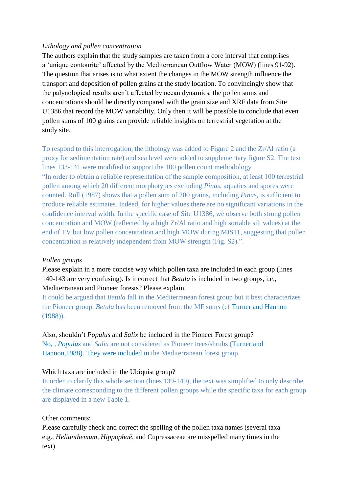### *Lithology and pollen concentration*

The authors explain that the study samples are taken from a core interval that comprises a 'unique contourite' affected by the Mediterranean Outflow Water (MOW) (lines 91-92). The question that arises is to what extent the changes in the MOW strength influence the transport and deposition of pollen grains at the study location. To convincingly show that the palynological results aren't affected by ocean dynamics, the pollen sums and concentrations should be directly compared with the grain size and XRF data from Site U1386 that record the MOW variability. Only then it will be possible to conclude that even pollen sums of 100 grains can provide reliable insights on terrestrial vegetation at the study site.

To respond to this interrogation, the lithology was added to Figure 2 and the Zr/Al ratio (a proxy for sedimentation rate) and sea level were added to supplementary figure S2. The text lines 133-141 were modified to support the 100 pollen count methodology. "In order to obtain a reliable representation of the sample composition, at least 100 terrestrial pollen among which 20 different morphotypes excluding *Pinus*, aquatics and spores were counted. Rull (1987) shows that a pollen sum of 200 grains, including *Pinus*, is sufficient to produce reliable estimates. Indeed, for higher values there are no significant variations in the confidence interval width. In the specific case of Site U1386, we observe both strong pollen concentration and MOW (reflected by a high Zr/Al ratio and high sortable silt values) at the end of TV but low pollen concentration and high MOW during MIS11, suggesting that pollen concentration is relatively independent from MOW strength (Fig. S2).".

#### *Pollen groups*

Please explain in a more concise way which pollen taxa are included in each group (lines 140-143 are very confusing). Is it correct that *Betula* is included in two groups, i.e., Mediterranean and Pioneer forests? Please explain.

It could be argued that *Betula* fall in the Mediterranean forest group but it best characterizes the Pioneer group. *Betula* has been removed from the MF sum*s* (cf Turner and Hannon (1988))*.*

# Also, shouldn't *Populus* and *Salix* be included in the Pioneer Forest group?

No, , *Populus* and *Salix* are not considered as Pioneer trees/shrubs (Turner and Hannon,1988). They were included in the Mediterranean forest group.

#### Which taxa are included in the Ubiquist group?

In order to clarify this whole section (lines 139-149), the text was simplified to only describe the climate corresponding to the different pollen groups while the specific taxa for each group are displayed in a new Table 1.

#### Other comments:

Please carefully check and correct the spelling of the pollen taxa names (several taxa e.g., *Helianthemum, Hippophaë,* and Cupressaceae are misspelled many times in the text).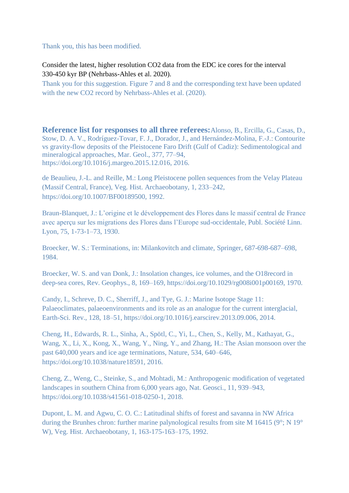Thank you, this has been modified.

Consider the latest, higher resolution CO2 data from the EDC ice cores for the interval 330-450 kyr BP (Nehrbass-Ahles et al. 2020).

Thank you for this suggestion. Figure 7 and 8 and the corresponding text have been updated with the new CO2 record by Nehrbass-Ahles et al. (2020).

**Reference list for responses to all three referees:**Alonso, B., Ercilla, G., Casas, D., Stow, D. A. V., Rodríguez-Tovar, F. J., Dorador, J., and Hernández-Molina, F.-J.: Contourite vs gravity-flow deposits of the Pleistocene Faro Drift (Gulf of Cadiz): Sedimentological and mineralogical approaches, Mar. Geol., 377, 77–94, https://doi.org/10.1016/j.margeo.2015.12.016, 2016.

de Beaulieu, J.-L. and Reille, M.: Long Pleistocene pollen sequences from the Velay Plateau (Massif Central, France), Veg. Hist. Archaeobotany, 1, 233–242, https://doi.org/10.1007/BF00189500, 1992.

Braun-Blanquet, J.: L'origine et le développement des Flores dans le massif central de France avec aperçu sur les migrations des Flores dans l'Europe sud-occidentale, Publ. Société Linn. Lyon, 75, 1-73-1–73, 1930.

Broecker, W. S.: Terminations, in: Milankovitch and climate, Springer, 687-698-687–698, 1984.

Broecker, W. S. and van Donk, J.: Insolation changes, ice volumes, and the O18record in deep-sea cores, Rev. Geophys., 8, 169–169, https://doi.org/10.1029/rg008i001p00169, 1970.

Candy, I., Schreve, D. C., Sherriff, J., and Tye, G. J.: Marine Isotope Stage 11: Palaeoclimates, palaeoenvironments and its role as an analogue for the current interglacial, Earth-Sci. Rev., 128, 18–51, https://doi.org/10.1016/j.earscirev.2013.09.006, 2014.

Cheng, H., Edwards, R. L., Sinha, A., Spötl, C., Yi, L., Chen, S., Kelly, M., Kathayat, G., Wang, X., Li, X., Kong, X., Wang, Y., Ning, Y., and Zhang, H.: The Asian monsoon over the past 640,000 years and ice age terminations, Nature, 534, 640–646, https://doi.org/10.1038/nature18591, 2016.

Cheng, Z., Weng, C., Steinke, S., and Mohtadi, M.: Anthropogenic modification of vegetated landscapes in southern China from 6,000 years ago, Nat. Geosci., 11, 939–943, https://doi.org/10.1038/s41561-018-0250-1, 2018.

Dupont, L. M. and Agwu, C. O. C.: Latitudinal shifts of forest and savanna in NW Africa during the Brunhes chron: further marine palynological results from site M 16415 (9°; N 19° W), Veg. Hist. Archaeobotany, 1, 163-175-163–175, 1992.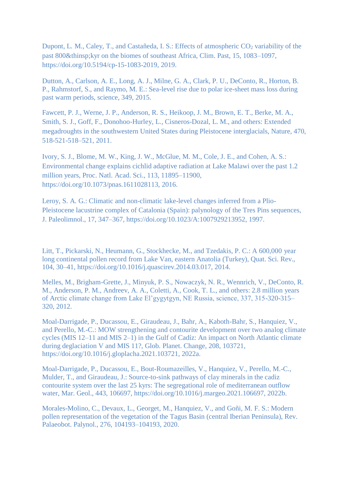Dupont, L. M., Caley, T., and Castañeda, I. S.: Effects of atmospheric CO<sub>2</sub> variability of the past 800 $&$ thinsp; kyr on the biomes of southeast Africa, Clim. Past, 15, 1083–1097, https://doi.org/10.5194/cp-15-1083-2019, 2019.

Dutton, A., Carlson, A. E., Long, A. J., Milne, G. A., Clark, P. U., DeConto, R., Horton, B. P., Rahmstorf, S., and Raymo, M. E.: Sea-level rise due to polar ice-sheet mass loss during past warm periods, science, 349, 2015.

Fawcett, P. J., Werne, J. P., Anderson, R. S., Heikoop, J. M., Brown, E. T., Berke, M. A., Smith, S. J., Goff, F., Donohoo-Hurley, L., Cisneros-Dozal, L. M., and others: Extended megadroughts in the southwestern United States during Pleistocene interglacials, Nature, 470, 518-521-518–521, 2011.

Ivory, S. J., Blome, M. W., King, J. W., McGlue, M. M., Cole, J. E., and Cohen, A. S.: Environmental change explains cichlid adaptive radiation at Lake Malawi over the past 1.2 million years, Proc. Natl. Acad. Sci., 113, 11895–11900, https://doi.org/10.1073/pnas.1611028113, 2016.

Leroy, S. A. G.: Climatic and non-climatic lake-level changes inferred from a Plio-Pleistocene lacustrine complex of Catalonia (Spain): palynology of the Tres Pins sequences, J. Paleolimnol., 17, 347–367, https://doi.org/10.1023/A:1007929213952, 1997.

Litt, T., Pickarski, N., Heumann, G., Stockhecke, M., and Tzedakis, P. C.: A 600,000 year long continental pollen record from Lake Van, eastern Anatolia (Turkey), Quat. Sci. Rev., 104, 30–41, https://doi.org/10.1016/j.quascirev.2014.03.017, 2014.

Melles, M., Brigham-Grette, J., Minyuk, P. S., Nowaczyk, N. R., Wennrich, V., DeConto, R. M., Anderson, P. M., Andreev, A. A., Coletti, A., Cook, T. L., and others: 2.8 million years of Arctic climate change from Lake El'gygytgyn, NE Russia, science, 337, 315-320-315– 320, 2012.

Moal-Darrigade, P., Ducassou, E., Giraudeau, J., Bahr, A., Kaboth-Bahr, S., Hanquiez, V., and Perello, M.-C.: MOW strengthening and contourite development over two analog climate cycles (MIS 12–11 and MIS 2–1) in the Gulf of Cadíz: An impact on North Atlantic climate during deglaciation V and MIS 11?, Glob. Planet. Change, 208, 103721, https://doi.org/10.1016/j.gloplacha.2021.103721, 2022a.

Moal-Darrigade, P., Ducassou, E., Bout-Roumazeilles, V., Hanquiez, V., Perello, M.-C., Mulder, T., and Giraudeau, J.: Source-to-sink pathways of clay minerals in the cadiz contourite system over the last 25 kyrs: The segregational role of mediterranean outflow water, Mar. Geol., 443, 106697, https://doi.org/10.1016/j.margeo.2021.106697, 2022b.

Morales-Molino, C., Devaux, L., Georget, M., Hanquiez, V., and Goñi, M. F. S.: Modern pollen representation of the vegetation of the Tagus Basin (central Iberian Peninsula), Rev. Palaeobot. Palynol., 276, 104193–104193, 2020.